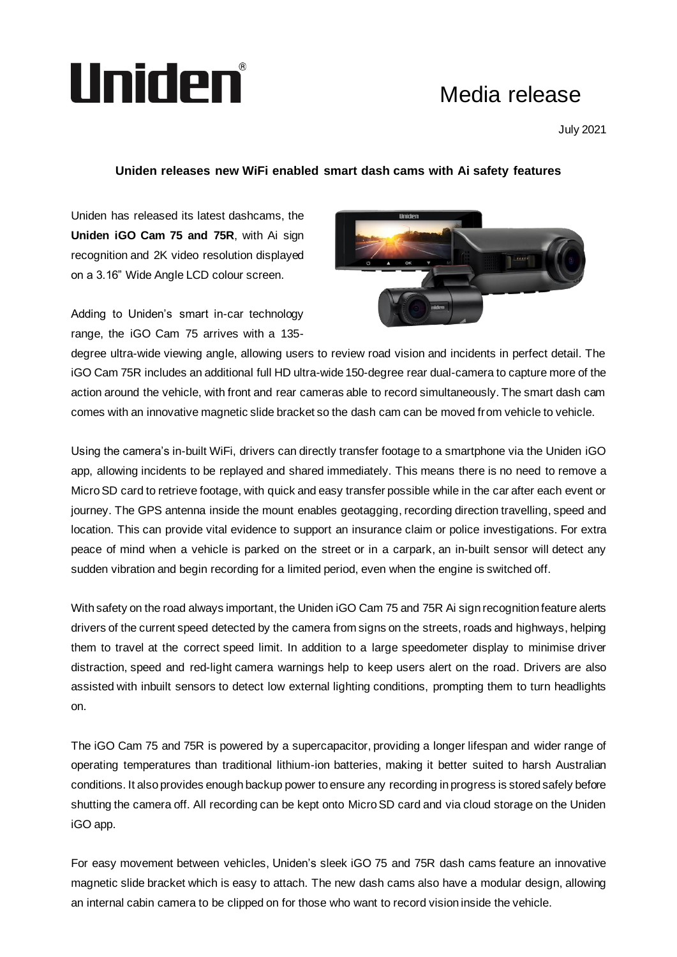# Uniden

# Media release

July 2021

## **Uniden releases new WiFi enabled smart dash cams with Ai safety features**

Uniden has released its latest dashcams, the **Uniden iGO Cam 75 and 75R**, with Ai sign recognition and 2K video resolution displayed on a 3.16" Wide Angle LCD colour screen.

Adding to Uniden's smart in-car technology range, the iGO Cam 75 arrives with a 135-



degree ultra-wide viewing angle, allowing users to review road vision and incidents in perfect detail. The iGO Cam 75R includes an additional full HD ultra-wide 150-degree rear dual-camera to capture more of the action around the vehicle, with front and rear cameras able to record simultaneously. The smart dash cam comes with an innovative magnetic slide bracket so the dash cam can be moved from vehicle to vehicle.

Using the camera's in-built WiFi, drivers can directly transfer footage to a smartphone via the Uniden iGO app, allowing incidents to be replayed and shared immediately. This means there is no need to remove a Micro SD card to retrieve footage, with quick and easy transfer possible while in the car after each event or journey. The GPS antenna inside the mount enables geotagging, recording direction travelling, speed and location. This can provide vital evidence to support an insurance claim or police investigations. For extra peace of mind when a vehicle is parked on the street or in a carpark, an in-built sensor will detect any sudden vibration and begin recording for a limited period, even when the engine is switched off.

With safety on the road always important, the Uniden iGO Cam 75 and 75R Ai sign recognition feature alerts drivers of the current speed detected by the camera from signs on the streets, roads and highways, helping them to travel at the correct speed limit. In addition to a large speedometer display to minimise driver distraction, speed and red-light camera warnings help to keep users alert on the road. Drivers are also assisted with inbuilt sensors to detect low external lighting conditions, prompting them to turn headlights on.

The iGO Cam 75 and 75R is powered by a supercapacitor, providing a longer lifespan and wider range of operating temperatures than traditional lithium-ion batteries, making it better suited to harsh Australian conditions. It also provides enough backup power to ensure any recording in progress is stored safely before shutting the camera off. All recording can be kept onto Micro SD card and via cloud storage on the Uniden iGO app.

For easy movement between vehicles, Uniden's sleek iGO 75 and 75R dash cams feature an innovative magnetic slide bracket which is easy to attach. The new dash cams also have a modular design, allowing an internal cabin camera to be clipped on for those who want to record vision inside the vehicle.